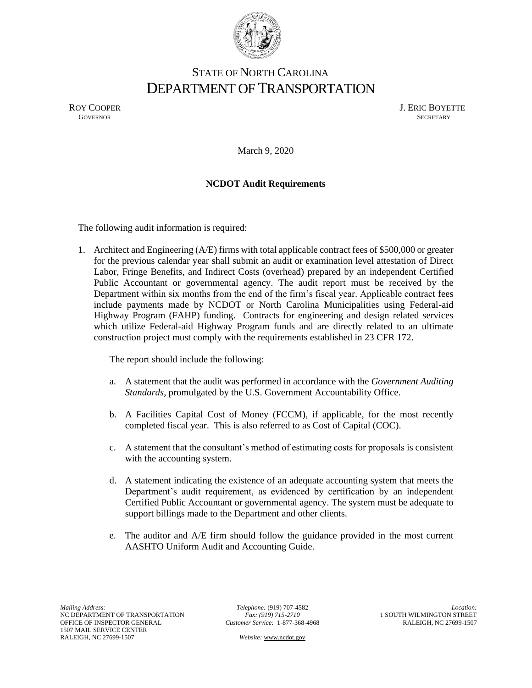

## STATE OF NORTH CAROLINA DEPARTMENT OF TRANSPORTATION

ROY COOPER J. ERIC BOYETTE GOVERNOR SECRETARY **GOVERNOR SECRETARY** SECRETARY

March 9, 2020

## **NCDOT Audit Requirements**

The following audit information is required:

1. Architect and Engineering (A/E) firms with total applicable contract fees of \$500,000 or greater for the previous calendar year shall submit an audit or examination level attestation of Direct Labor, Fringe Benefits, and Indirect Costs (overhead) prepared by an independent Certified Public Accountant or governmental agency. The audit report must be received by the Department within six months from the end of the firm's fiscal year. Applicable contract fees include payments made by NCDOT or North Carolina Municipalities using Federal-aid Highway Program (FAHP) funding. Contracts for engineering and design related services which utilize Federal-aid Highway Program funds and are directly related to an ultimate construction project must comply with the requirements established in 23 CFR 172.

The report should include the following:

- a. A statement that the audit was performed in accordance with the *Government Auditing Standards*, promulgated by the U.S. Government Accountability Office.
- b. A Facilities Capital Cost of Money (FCCM), if applicable, for the most recently completed fiscal year. This is also referred to as Cost of Capital (COC).
- c. A statement that the consultant's method of estimating costs for proposals is consistent with the accounting system.
- d. A statement indicating the existence of an adequate accounting system that meets the Department's audit requirement, as evidenced by certification by an independent Certified Public Accountant or governmental agency. The system must be adequate to support billings made to the Department and other clients.
- e. The auditor and A/E firm should follow the guidance provided in the most current AASHTO Uniform Audit and Accounting Guide.

*Telephone:* (919) 707-4582 *Fax: (919) 715-2710 Customer Service:* 1-877-368-4968

 *Website:* [www.ncdot.gov](http://www.ncdot.gov/)